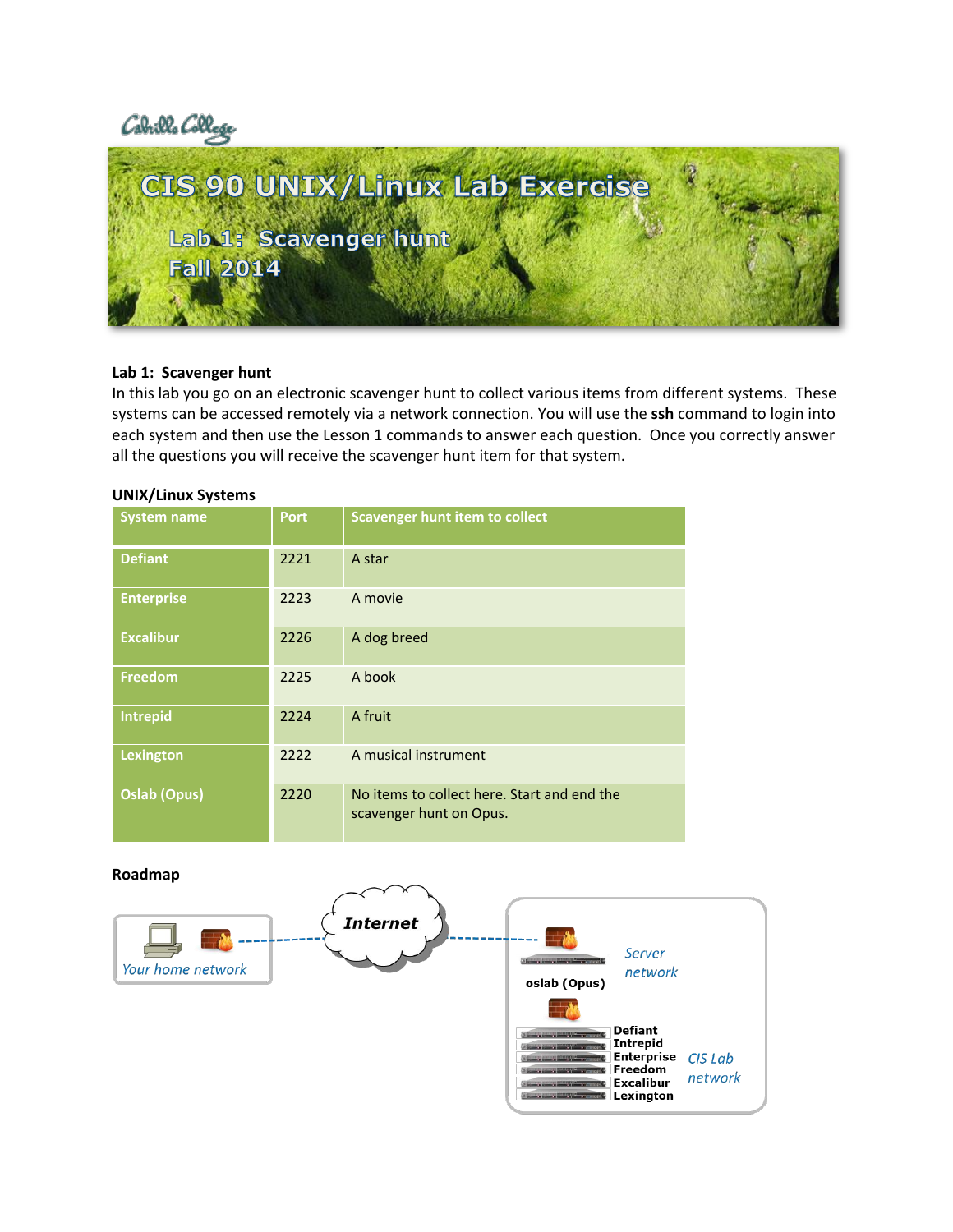



## **Lab 1: Scavenger hunt**

In this lab you go on an electronic scavenger hunt to collect various items from different systems. These systems can be accessed remotely via a network connection. You will use the **ssh** command to login into each system and then use the Lesson 1 commands to answer each question. Once you correctly answer all the questions you will receive the scavenger hunt item for that system.

### **UNIX/Linux Systems**

| <b>System name</b>  | <b>Port</b> | <b>Scavenger hunt item to collect</b>                                  |
|---------------------|-------------|------------------------------------------------------------------------|
| <b>Defiant</b>      | 2221        | A star                                                                 |
| <b>Enterprise</b>   | 2223        | A movie                                                                |
| <b>Excalibur</b>    | 2226        | A dog breed                                                            |
| <b>Freedom</b>      | 2225        | A book                                                                 |
| Intrepid            | 2224        | A fruit                                                                |
| Lexington           | 2222        | A musical instrument                                                   |
| <b>Oslab (Opus)</b> | 2220        | No items to collect here. Start and end the<br>scavenger hunt on Opus. |

#### **Roadmap**